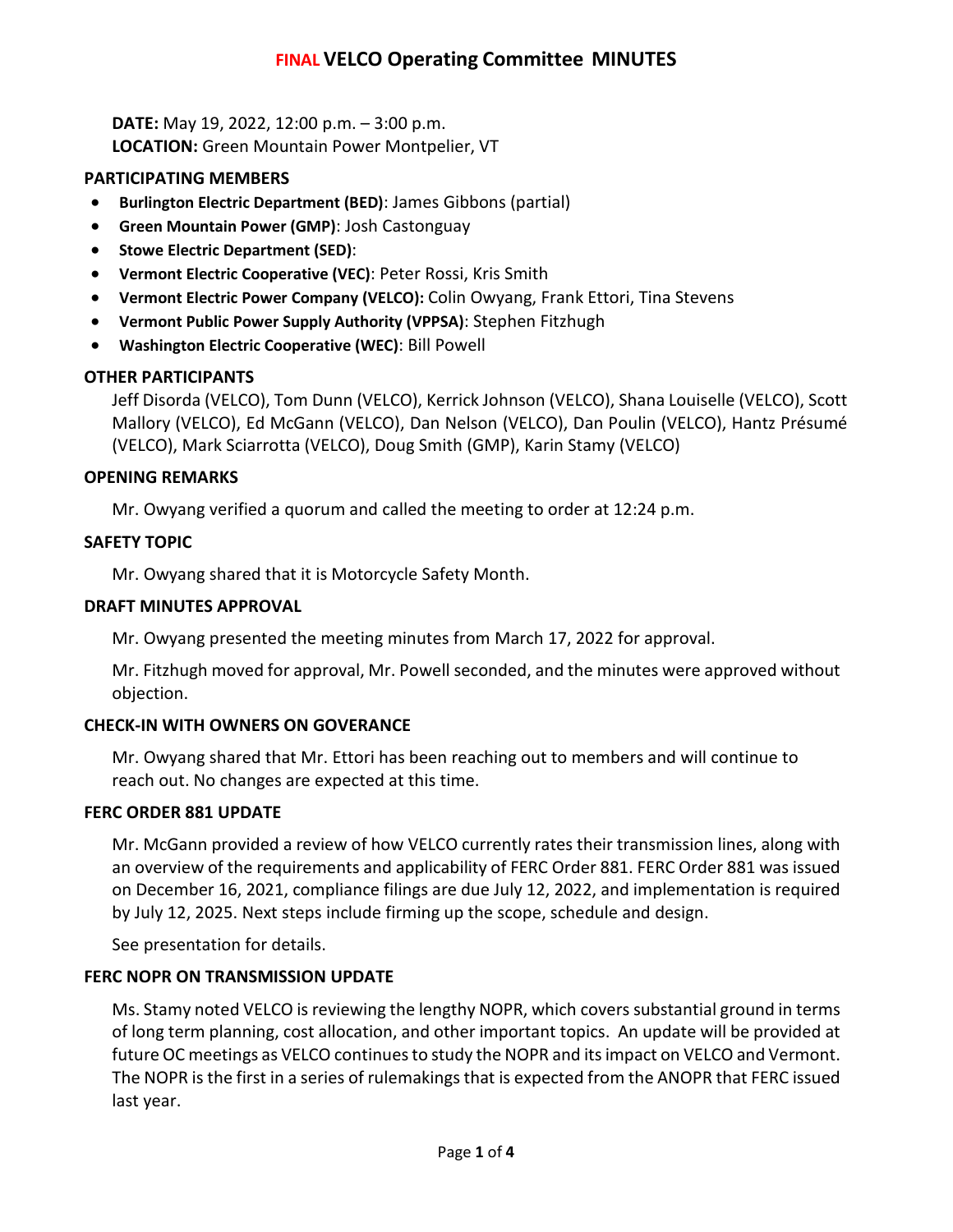# **FINAL VELCO Operating Committee MINUTES**

**DATE:** May 19, 2022, 12:00 p.m. – 3:00 p.m. **LOCATION:** Green Mountain Power Montpelier, VT

### **PARTICIPATING MEMBERS**

- **Burlington Electric Department (BED)**: James Gibbons (partial)
- **Green Mountain Power (GMP)**: Josh Castonguay
- **Stowe Electric Department (SED)**:
- **Vermont Electric Cooperative (VEC)**: Peter Rossi, Kris Smith
- **Vermont Electric Power Company (VELCO):** Colin Owyang, Frank Ettori, Tina Stevens
- **Vermont Public Power Supply Authority (VPPSA)**: Stephen Fitzhugh
- **Washington Electric Cooperative (WEC)**: Bill Powell

## **OTHER PARTICIPANTS**

Jeff Disorda (VELCO), Tom Dunn (VELCO), Kerrick Johnson (VELCO), Shana Louiselle (VELCO), Scott Mallory (VELCO), Ed McGann (VELCO), Dan Nelson (VELCO), Dan Poulin (VELCO), Hantz Présumé (VELCO), Mark Sciarrotta (VELCO), Doug Smith (GMP), Karin Stamy (VELCO)

## **OPENING REMARKS**

Mr. Owyang verified a quorum and called the meeting to order at 12:24 p.m.

## **SAFETY TOPIC**

Mr. Owyang shared that it is Motorcycle Safety Month.

### **DRAFT MINUTES APPROVAL**

Mr. Owyang presented the meeting minutes from March 17, 2022 for approval.

Mr. Fitzhugh moved for approval, Mr. Powell seconded, and the minutes were approved without objection.

### **CHECK-IN WITH OWNERS ON GOVERANCE**

Mr. Owyang shared that Mr. Ettori has been reaching out to members and will continue to reach out. No changes are expected at this time.

### **FERC ORDER 881 UPDATE**

Mr. McGann provided a review of how VELCO currently rates their transmission lines, along with an overview of the requirements and applicability of FERC Order 881. FERC Order 881 was issued on December 16, 2021, compliance filings are due July 12, 2022, and implementation is required by July 12, 2025. Next steps include firming up the scope, schedule and design.

See presentation for details.

## **FERC NOPR ON TRANSMISSION UPDATE**

Ms. Stamy noted VELCO is reviewing the lengthy NOPR, which covers substantial ground in terms of long term planning, cost allocation, and other important topics. An update will be provided at future OC meetings as VELCO continuesto study the NOPR and its impact on VELCO and Vermont. The NOPR is the first in a series of rulemakings that is expected from the ANOPR that FERC issued last year.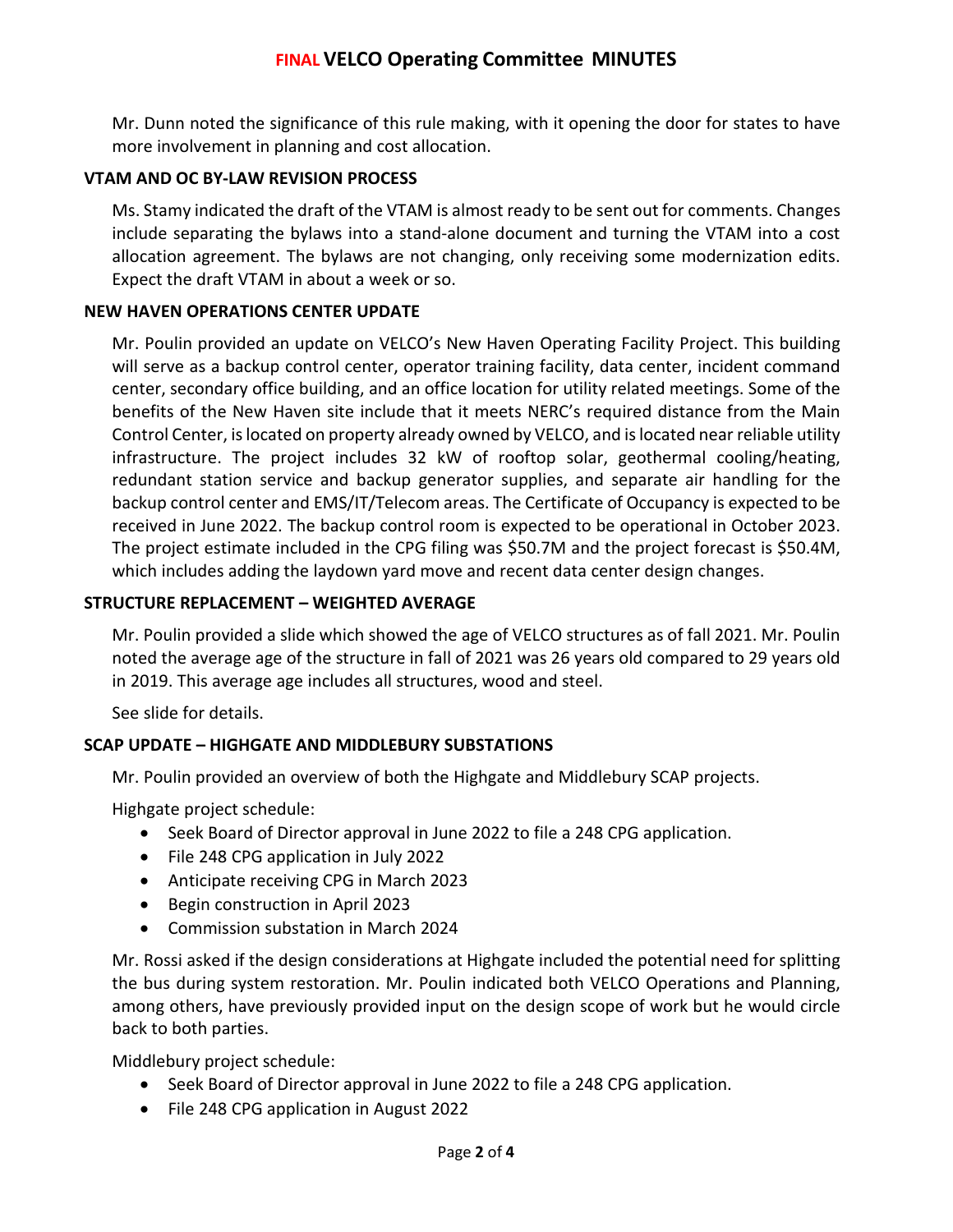Mr. Dunn noted the significance of this rule making, with it opening the door for states to have more involvement in planning and cost allocation.

## **VTAM AND OC BY-LAW REVISION PROCESS**

Ms. Stamy indicated the draft of the VTAM is almost ready to be sent out for comments. Changes include separating the bylaws into a stand-alone document and turning the VTAM into a cost allocation agreement. The bylaws are not changing, only receiving some modernization edits. Expect the draft VTAM in about a week or so.

## **NEW HAVEN OPERATIONS CENTER UPDATE**

Mr. Poulin provided an update on VELCO's New Haven Operating Facility Project. This building will serve as a backup control center, operator training facility, data center, incident command center, secondary office building, and an office location for utility related meetings. Some of the benefits of the New Haven site include that it meets NERC's required distance from the Main Control Center, is located on property already owned by VELCO, and is located near reliable utility infrastructure. The project includes 32 kW of rooftop solar, geothermal cooling/heating, redundant station service and backup generator supplies, and separate air handling for the backup control center and EMS/IT/Telecom areas. The Certificate of Occupancy is expected to be received in June 2022. The backup control room is expected to be operational in October 2023. The project estimate included in the CPG filing was \$50.7M and the project forecast is \$50.4M, which includes adding the laydown yard move and recent data center design changes.

## **STRUCTURE REPLACEMENT – WEIGHTED AVERAGE**

Mr. Poulin provided a slide which showed the age of VELCO structures as of fall 2021. Mr. Poulin noted the average age of the structure in fall of 2021 was 26 years old compared to 29 years old in 2019. This average age includes all structures, wood and steel.

See slide for details.

## **SCAP UPDATE – HIGHGATE AND MIDDLEBURY SUBSTATIONS**

Mr. Poulin provided an overview of both the Highgate and Middlebury SCAP projects.

Highgate project schedule:

- Seek Board of Director approval in June 2022 to file a 248 CPG application.
- File 248 CPG application in July 2022
- Anticipate receiving CPG in March 2023
- Begin construction in April 2023
- Commission substation in March 2024

Mr. Rossi asked if the design considerations at Highgate included the potential need for splitting the bus during system restoration. Mr. Poulin indicated both VELCO Operations and Planning, among others, have previously provided input on the design scope of work but he would circle back to both parties.

Middlebury project schedule:

- Seek Board of Director approval in June 2022 to file a 248 CPG application.
- File 248 CPG application in August 2022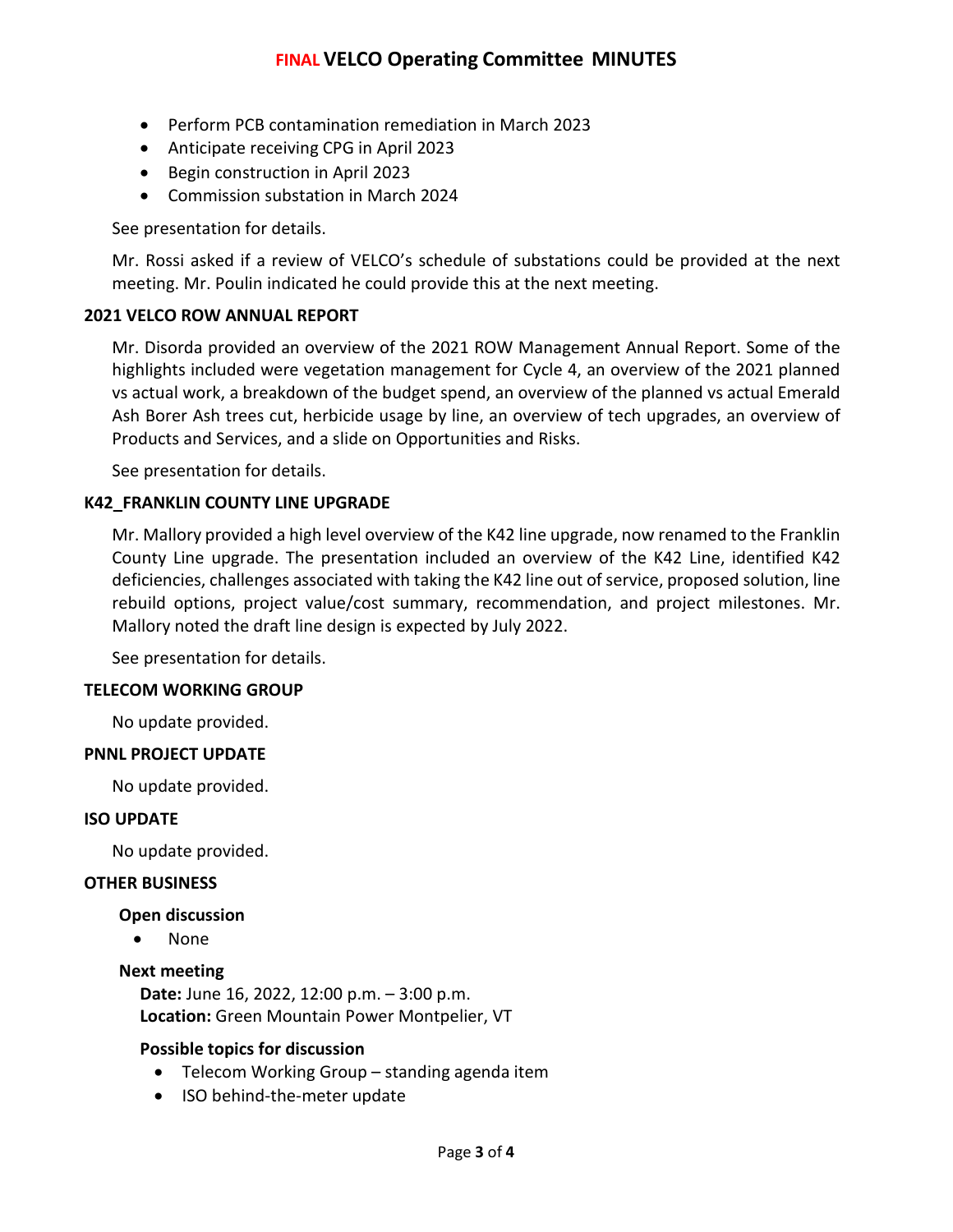- Perform PCB contamination remediation in March 2023
- Anticipate receiving CPG in April 2023
- Begin construction in April 2023
- Commission substation in March 2024

See presentation for details.

Mr. Rossi asked if a review of VELCO's schedule of substations could be provided at the next meeting. Mr. Poulin indicated he could provide this at the next meeting.

### **2021 VELCO ROW ANNUAL REPORT**

Mr. Disorda provided an overview of the 2021 ROW Management Annual Report. Some of the highlights included were vegetation management for Cycle 4, an overview of the 2021 planned vs actual work, a breakdown of the budget spend, an overview of the planned vs actual Emerald Ash Borer Ash trees cut, herbicide usage by line, an overview of tech upgrades, an overview of Products and Services, and a slide on Opportunities and Risks.

See presentation for details.

### **K42\_FRANKLIN COUNTY LINE UPGRADE**

Mr. Mallory provided a high level overview of the K42 line upgrade, now renamed to the Franklin County Line upgrade. The presentation included an overview of the K42 Line, identified K42 deficiencies, challenges associated with taking the K42 line out of service, proposed solution, line rebuild options, project value/cost summary, recommendation, and project milestones. Mr. Mallory noted the draft line design is expected by July 2022.

See presentation for details.

### **TELECOM WORKING GROUP**

No update provided.

### **PNNL PROJECT UPDATE**

No update provided.

### **ISO UPDATE**

No update provided.

### **OTHER BUSINESS**

### **Open discussion**

• None

### **Next meeting**

**Date:** June 16, 2022, 12:00 p.m. – 3:00 p.m. **Location:** Green Mountain Power Montpelier, VT

### **Possible topics for discussion**

- Telecom Working Group standing agenda item
- ISO behind-the-meter update